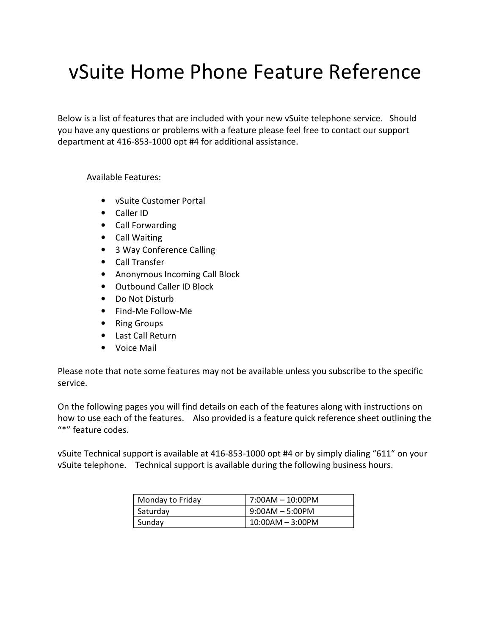# vSuite Home Phone Feature Reference

Below is a list of features that are included with your new vSuite telephone service. Should you have any questions or problems with a feature please feel free to contact our support department at 416-853-1000 opt #4 for additional assistance.

Available Features:

- vSuite Customer Portal
- Caller ID
- Call Forwarding
- Call Waiting
- 3 Way Conference Calling
- Call Transfer
- Anonymous Incoming Call Block
- Outbound Caller ID Block
- Do Not Disturb
- Find-Me Follow-Me
- Ring Groups
- Last Call Return
- Voice Mail

Please note that note some features may not be available unless you subscribe to the specific service.

On the following pages you will find details on each of the features along with instructions on how to use each of the features. Also provided is a feature quick reference sheet outlining the "\*" feature codes.

vSuite Technical support is available at 416-853-1000 opt #4 or by simply dialing "611" on your vSuite telephone. Technical support is available during the following business hours.

| Monday to Friday | $7:00AM - 10:00PM$ |
|------------------|--------------------|
| Saturdav         | $9:00AM - 5:00PM$  |
| Sundav           | $10:00AM - 3:00PM$ |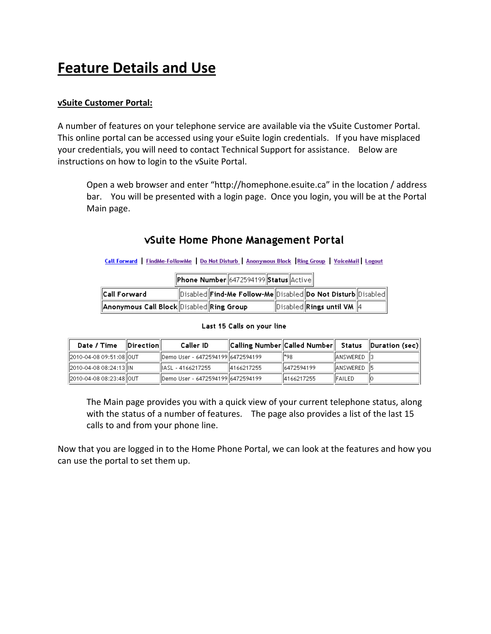## Feature Details and Use

#### vSuite Customer Portal:

A number of features on your telephone service are available via the vSuite Customer Portal. This online portal can be accessed using your eSuite login credentials. If you have misplaced your credentials, you will need to contact Technical Support for assistance. Below are instructions on how to login to the vSuite Portal.

Open a web browser and enter "http://homephone.esuite.ca" in the location / address bar. You will be presented with a login page. Once you login, you will be at the Portal Main page.

#### vSuite Home Phone Management Portal

Call Forward | FindMe-FollowMe | Do Not Disturb | Anonymous Block | Ring Group | VoiceMail | Logout

| Phone Number 6472594199 Status Active |  |  |  |
|---------------------------------------|--|--|--|
|---------------------------------------|--|--|--|

| <b>Call Forward</b>                                     | Disabled  Find-Me Follow-Me  Disabled  Do Not Disturb  Disabled |                                          |  |
|---------------------------------------------------------|-----------------------------------------------------------------|------------------------------------------|--|
| $\ $ Anonymous Call Block $\ $ Disabled $\ $ Ring Group |                                                                 | $\ $ Disabled $\ $ Rings until VM $\ $ 4 |  |

#### Last 15 Calls on your line

| Date / Time              | $\blacksquare$ | Caller ID                          | Calling Number  Called Number   Status   Duration (sec) |             |                |  |
|--------------------------|----------------|------------------------------------|---------------------------------------------------------|-------------|----------------|--|
| 2010-04-08 09:51:08  OUT |                | IDemo User - 6472594199 6472594199 |                                                         | ‼*98        | IANSWERED      |  |
| 2010-04-08 08:24:13  IN  |                | lliasl - 4166217255                | 4166217255                                              | 16472594199 | IIANSWERED II5 |  |
| 2010-04-08 08:23:48  OUT |                | Demo User - 6472594199  6472594199 |                                                         | 4166217255  | IFAILED        |  |

The Main page provides you with a quick view of your current telephone status, along with the status of a number of features. The page also provides a list of the last 15 calls to and from your phone line.

Now that you are logged in to the Home Phone Portal, we can look at the features and how you can use the portal to set them up.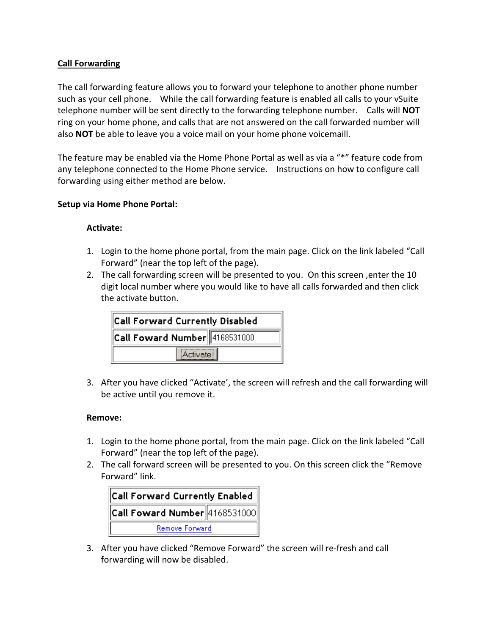#### Call Forwarding

The call forwarding feature allows you to forward your telephone to another phone number such as your cell phone. While the call forwarding feature is enabled all calls to your vSuite telephone number will be sent directly to the forwarding telephone number. Calls will **NOT** ring on your home phone, and calls that are not answered on the call forwarded number will also NOT be able to leave you a voice mail on your home phone voicemaill.

The feature may be enabled via the Home Phone Portal as well as via a "\*" feature code from any telephone connected to the Home Phone service. Instructions on how to configure call forwarding using either method are below.

#### Setup via Home Phone Portal:

#### Activate:

- 1. Login to the home phone portal, from the main page. Click on the link labeled "Call Forward" (near the top left of the page).
- 2. The call forwarding screen will be presented to you. On this screen ,enter the 10 digit local number where you would like to have all calls forwarded and then click the activate button.

| Call Forward Currently Disabled         |  |  |
|-----------------------------------------|--|--|
| $\ $ Call Foward Number $\ $ 4168531000 |  |  |
| Activate                                |  |  |

3. After you have clicked "Activate', the screen will refresh and the call forwarding will be active until you remove it.

#### Remove:

- 1. Login to the home phone portal, from the main page. Click on the link labeled "Call Forward" (near the top left of the page).
- 2. The call forward screen will be presented to you. On this screen click the "Remove Forward" link.



3. After you have clicked "Remove Forward" the screen will re-fresh and call forwarding will now be disabled.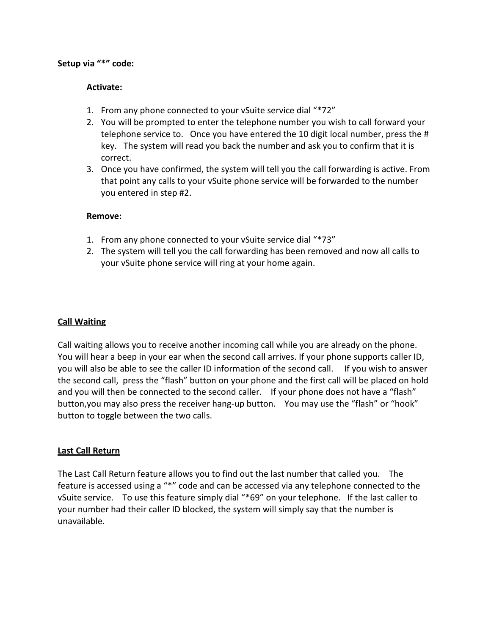#### Setup via "\*" code:

#### Activate:

- 1. From any phone connected to your vSuite service dial "\*72"
- 2. You will be prompted to enter the telephone number you wish to call forward your telephone service to. Once you have entered the 10 digit local number, press the # key. The system will read you back the number and ask you to confirm that it is correct.
- 3. Once you have confirmed, the system will tell you the call forwarding is active. From that point any calls to your vSuite phone service will be forwarded to the number you entered in step #2.

#### Remove:

- 1. From any phone connected to your vSuite service dial "\*73"
- 2. The system will tell you the call forwarding has been removed and now all calls to your vSuite phone service will ring at your home again.

#### Call Waiting

Call waiting allows you to receive another incoming call while you are already on the phone. You will hear a beep in your ear when the second call arrives. If your phone supports caller ID, you will also be able to see the caller ID information of the second call. If you wish to answer the second call, press the "flash" button on your phone and the first call will be placed on hold and you will then be connected to the second caller. If your phone does not have a "flash" button,you may also press the receiver hang-up button. You may use the "flash" or "hook" button to toggle between the two calls.

#### Last Call Return

The Last Call Return feature allows you to find out the last number that called you. The feature is accessed using a "\*" code and can be accessed via any telephone connected to the vSuite service. To use this feature simply dial "\*69" on your telephone. If the last caller to your number had their caller ID blocked, the system will simply say that the number is unavailable.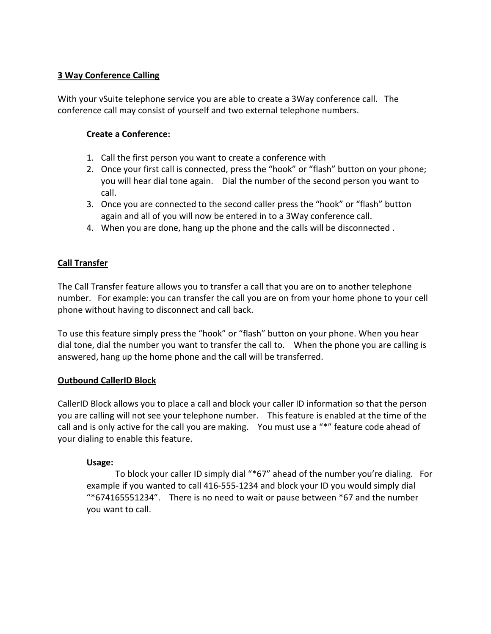#### 3 Way Conference Calling

With your vSuite telephone service you are able to create a 3Way conference call. The conference call may consist of yourself and two external telephone numbers.

#### Create a Conference:

- 1. Call the first person you want to create a conference with
- 2. Once your first call is connected, press the "hook" or "flash" button on your phone; you will hear dial tone again. Dial the number of the second person you want to call.
- 3. Once you are connected to the second caller press the "hook" or "flash" button again and all of you will now be entered in to a 3Way conference call.
- 4. When you are done, hang up the phone and the calls will be disconnected .

#### Call Transfer

The Call Transfer feature allows you to transfer a call that you are on to another telephone number. For example: you can transfer the call you are on from your home phone to your cell phone without having to disconnect and call back.

To use this feature simply press the "hook" or "flash" button on your phone. When you hear dial tone, dial the number you want to transfer the call to. When the phone you are calling is answered, hang up the home phone and the call will be transferred.

#### Outbound CallerID Block

CallerID Block allows you to place a call and block your caller ID information so that the person you are calling will not see your telephone number. This feature is enabled at the time of the call and is only active for the call you are making. You must use a "\*" feature code ahead of your dialing to enable this feature.

#### Usage:

 To block your caller ID simply dial "\*67" ahead of the number you're dialing. For example if you wanted to call 416-555-1234 and block your ID you would simply dial "\*674165551234". There is no need to wait or pause between \*67 and the number you want to call.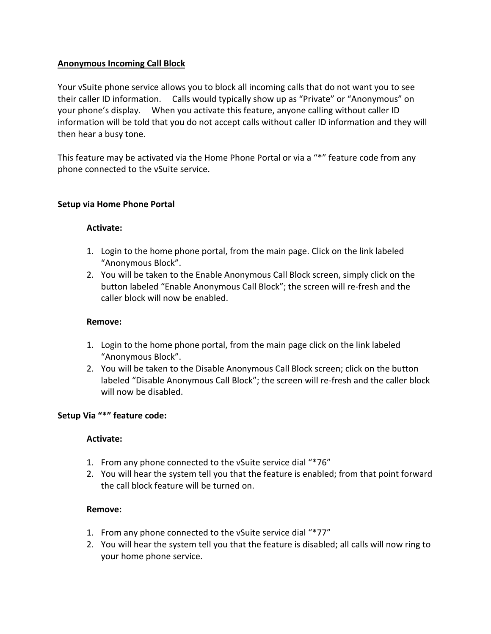#### Anonymous Incoming Call Block

Your vSuite phone service allows you to block all incoming calls that do not want you to see their caller ID information. Calls would typically show up as "Private" or "Anonymous" on your phone's display. When you activate this feature, anyone calling without caller ID information will be told that you do not accept calls without caller ID information and they will then hear a busy tone.

This feature may be activated via the Home Phone Portal or via a "\*" feature code from any phone connected to the vSuite service.

#### Setup via Home Phone Portal

#### Activate:

- 1. Login to the home phone portal, from the main page. Click on the link labeled "Anonymous Block".
- 2. You will be taken to the Enable Anonymous Call Block screen, simply click on the button labeled "Enable Anonymous Call Block"; the screen will re-fresh and the caller block will now be enabled.

#### Remove:

- 1. Login to the home phone portal, from the main page click on the link labeled "Anonymous Block".
- 2. You will be taken to the Disable Anonymous Call Block screen; click on the button labeled "Disable Anonymous Call Block"; the screen will re-fresh and the caller block will now be disabled.

#### Setup Via "\*" feature code:

#### Activate:

- 1. From any phone connected to the vSuite service dial "\*76"
- 2. You will hear the system tell you that the feature is enabled; from that point forward the call block feature will be turned on.

#### Remove:

- 1. From any phone connected to the vSuite service dial "\*77"
- 2. You will hear the system tell you that the feature is disabled; all calls will now ring to your home phone service.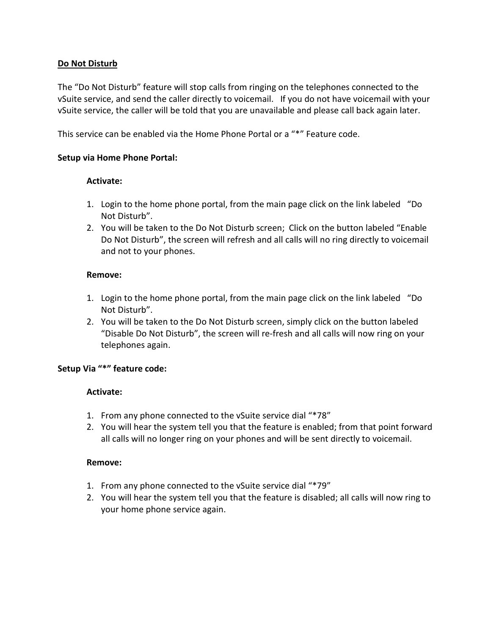#### Do Not Disturb

The "Do Not Disturb" feature will stop calls from ringing on the telephones connected to the vSuite service, and send the caller directly to voicemail. If you do not have voicemail with your vSuite service, the caller will be told that you are unavailable and please call back again later.

This service can be enabled via the Home Phone Portal or a "\*" Feature code.

#### Setup via Home Phone Portal:

#### Activate:

- 1. Login to the home phone portal, from the main page click on the link labeled "Do Not Disturb".
- 2. You will be taken to the Do Not Disturb screen; Click on the button labeled "Enable Do Not Disturb", the screen will refresh and all calls will no ring directly to voicemail and not to your phones.

#### Remove:

- 1. Login to the home phone portal, from the main page click on the link labeled "Do Not Disturb".
- 2. You will be taken to the Do Not Disturb screen, simply click on the button labeled "Disable Do Not Disturb", the screen will re-fresh and all calls will now ring on your telephones again.

#### Setup Via "\*" feature code:

#### Activate:

- 1. From any phone connected to the vSuite service dial "\*78"
- 2. You will hear the system tell you that the feature is enabled; from that point forward all calls will no longer ring on your phones and will be sent directly to voicemail.

#### Remove:

- 1. From any phone connected to the vSuite service dial "\*79"
- 2. You will hear the system tell you that the feature is disabled; all calls will now ring to your home phone service again.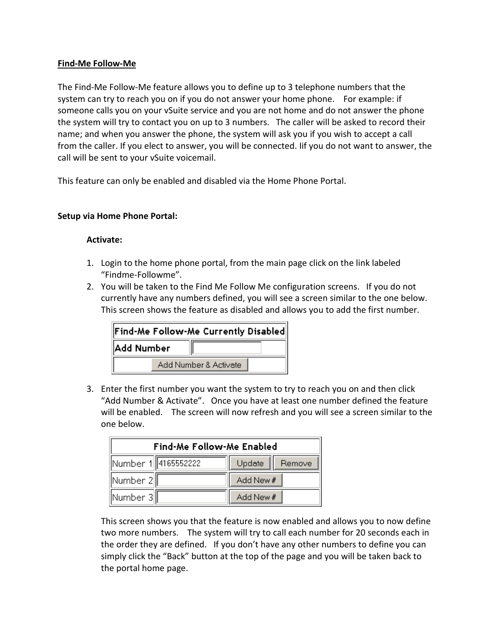#### Find-Me Follow-Me

The Find-Me Follow-Me feature allows you to define up to 3 telephone numbers that the system can try to reach you on if you do not answer your home phone. For example: if someone calls you on your vSuite service and you are not home and do not answer the phone the system will try to contact you on up to 3 numbers. The caller will be asked to record their name; and when you answer the phone, the system will ask you if you wish to accept a call from the caller. If you elect to answer, you will be connected. Iif you do not want to answer, the call will be sent to your vSuite voicemail.

This feature can only be enabled and disabled via the Home Phone Portal.

#### Setup via Home Phone Portal:

#### Activate:

- 1. Login to the home phone portal, from the main page click on the link labeled "Findme-Followme".
- 2. You will be taken to the Find Me Follow Me configuration screens. If you do not currently have any numbers defined, you will see a screen similar to the one below. This screen shows the feature as disabled and allows you to add the first number.

| $\ $ Find-Me Follow-Me Currently Disabled $\ $ |  |  |  |
|------------------------------------------------|--|--|--|
| Add Number                                     |  |  |  |
| Add Number & Activate                          |  |  |  |

3. Enter the first number you want the system to try to reach you on and then click "Add Number & Activate". Once you have at least one number defined the feature will be enabled. The screen will now refresh and you will see a screen similar to the one below.

| <b>Find-Me Follow-Me Enabled</b> |                  |  |  |
|----------------------------------|------------------|--|--|
| Number 1 4165552222              | Update<br>Remove |  |  |
| Number 2                         | Add New #        |  |  |
| Number 3                         | Add New #        |  |  |

This screen shows you that the feature is now enabled and allows you to now define two more numbers. The system will try to call each number for 20 seconds each in the order they are defined. If you don't have any other numbers to define you can simply click the "Back" button at the top of the page and you will be taken back to the portal home page.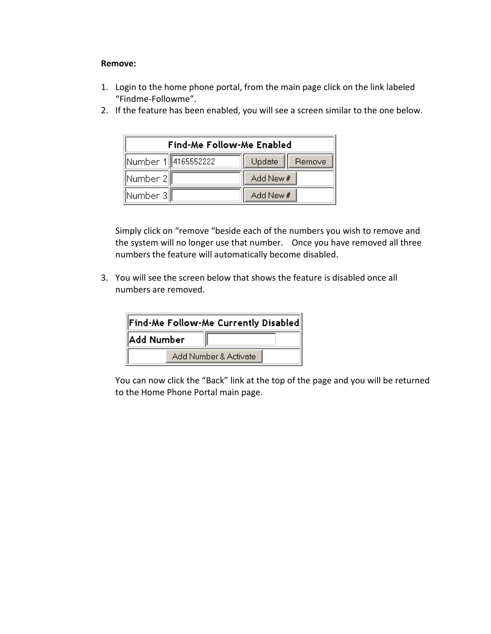#### Remove:

- 1. Login to the home phone portal, from the main page click on the link labeled "Findme-Followme".
- 2. If the feature has been enabled, you will see a screen similar to the one below.

| <b>Find-Me Follow-Me Enabled</b> |                  |  |  |
|----------------------------------|------------------|--|--|
| Number 1  4165552222             | Update<br>Remove |  |  |
| ∥Number 2∥                       | Add New #        |  |  |
| Number 3                         | Add New #        |  |  |

Simply click on "remove "beside each of the numbers you wish to remove and the system will no longer use that number. Once you have removed all three numbers the feature will automatically become disabled.

3. You will see the screen below that shows the feature is disabled once all numbers are removed.

| $\ $ Find-Me Follow-Me Currently Disabled $\ $ |  |  |  |
|------------------------------------------------|--|--|--|
| Add Number                                     |  |  |  |
| Add Number & Activate                          |  |  |  |

You can now click the "Back" link at the top of the page and you will be returned to the Home Phone Portal main page.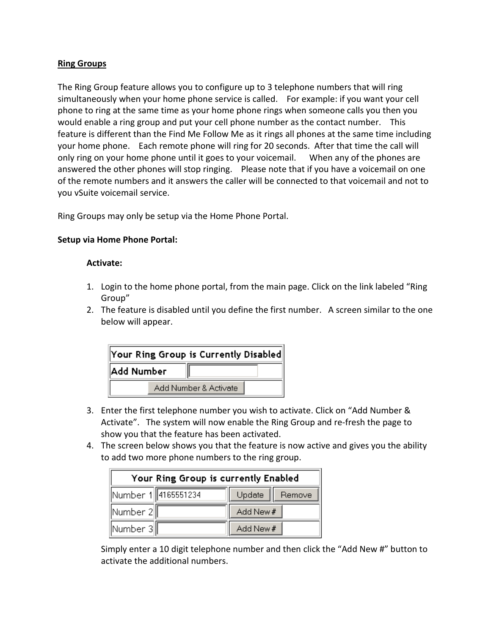#### Ring Groups

The Ring Group feature allows you to configure up to 3 telephone numbers that will ring simultaneously when your home phone service is called. For example: if you want your cell phone to ring at the same time as your home phone rings when someone calls you then you would enable a ring group and put your cell phone number as the contact number. This feature is different than the Find Me Follow Me as it rings all phones at the same time including your home phone. Each remote phone will ring for 20 seconds. After that time the call will only ring on your home phone until it goes to your voicemail. When any of the phones are answered the other phones will stop ringing. Please note that if you have a voicemail on one of the remote numbers and it answers the caller will be connected to that voicemail and not to you vSuite voicemail service.

Ring Groups may only be setup via the Home Phone Portal.

#### Setup via Home Phone Portal:

#### Activate:

- 1. Login to the home phone portal, from the main page. Click on the link labeled "Ring Group"
- 2. The feature is disabled until you define the first number. A screen similar to the one below will appear.

| $\ $ Your Ring Group is Currently Disabled $\ $ |                       |  |  |
|-------------------------------------------------|-----------------------|--|--|
| Add Number                                      |                       |  |  |
|                                                 | Add Number & Activate |  |  |

- 3. Enter the first telephone number you wish to activate. Click on "Add Number & Activate". The system will now enable the Ring Group and re-fresh the page to show you that the feature has been activated.
- 4. The screen below shows you that the feature is now active and gives you the ability to add two more phone numbers to the ring group.

| Your Ring Group is currently Enabled |                  |  |  |
|--------------------------------------|------------------|--|--|
| Number 1 4165551234                  | Update<br>Remove |  |  |
| Number 2                             | Add New #        |  |  |
| Number 3                             | Add New #        |  |  |

Simply enter a 10 digit telephone number and then click the "Add New #" button to activate the additional numbers.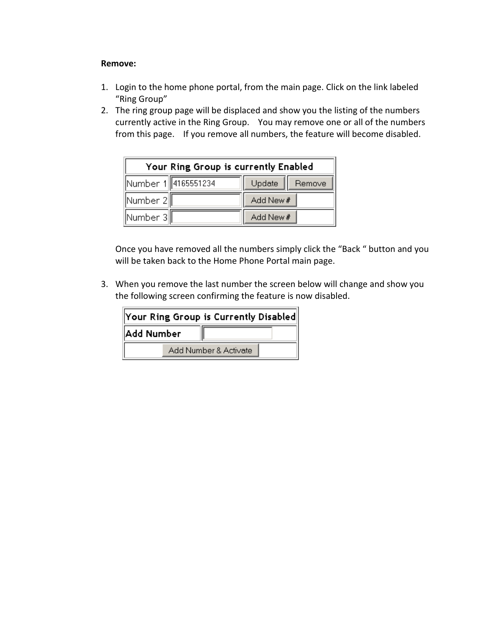#### Remove:

- 1. Login to the home phone portal, from the main page. Click on the link labeled "Ring Group"
- 2. The ring group page will be displaced and show you the listing of the numbers currently active in the Ring Group. You may remove one or all of the numbers from this page. If you remove all numbers, the feature will become disabled.

| Your Ring Group is currently Enabled |                  |  |  |
|--------------------------------------|------------------|--|--|
| Number 1  4165551234                 | Update<br>Remove |  |  |
| ∥Number 2∥                           | Add New #        |  |  |
| ∥Number 3∥                           | Add New #        |  |  |

Once you have removed all the numbers simply click the "Back " button and you will be taken back to the Home Phone Portal main page.

3. When you remove the last number the screen below will change and show you the following screen confirming the feature is now disabled.

| $\ $ Your Ring Group is Currently Disabled $\ $ |                       |  |  |
|-------------------------------------------------|-----------------------|--|--|
| Add Number                                      |                       |  |  |
|                                                 | Add Number & Activate |  |  |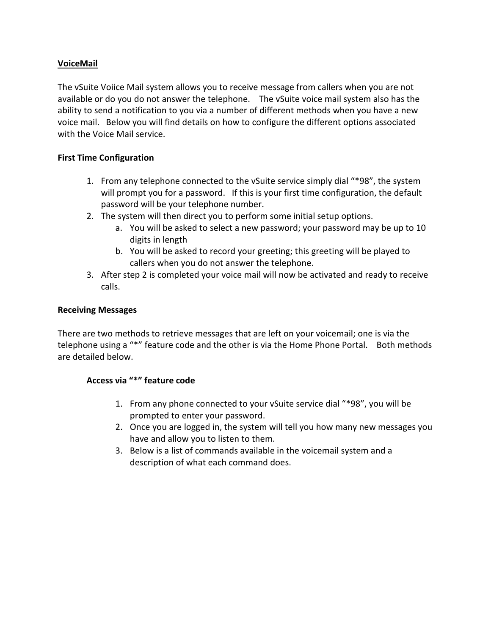#### VoiceMail

The vSuite Voiice Mail system allows you to receive message from callers when you are not available or do you do not answer the telephone. The vSuite voice mail system also has the ability to send a notification to you via a number of different methods when you have a new voice mail. Below you will find details on how to configure the different options associated with the Voice Mail service.

#### First Time Configuration

- 1. From any telephone connected to the vSuite service simply dial "\*98", the system will prompt you for a password. If this is your first time configuration, the default password will be your telephone number.
- 2. The system will then direct you to perform some initial setup options.
	- a. You will be asked to select a new password; your password may be up to 10 digits in length
	- b. You will be asked to record your greeting; this greeting will be played to callers when you do not answer the telephone.
- 3. After step 2 is completed your voice mail will now be activated and ready to receive calls.

#### Receiving Messages

There are two methods to retrieve messages that are left on your voicemail; one is via the telephone using a "\*" feature code and the other is via the Home Phone Portal. Both methods are detailed below.

#### Access via "\*" feature code

- 1. From any phone connected to your vSuite service dial "\*98", you will be prompted to enter your password.
- 2. Once you are logged in, the system will tell you how many new messages you have and allow you to listen to them.
- 3. Below is a list of commands available in the voicemail system and a description of what each command does.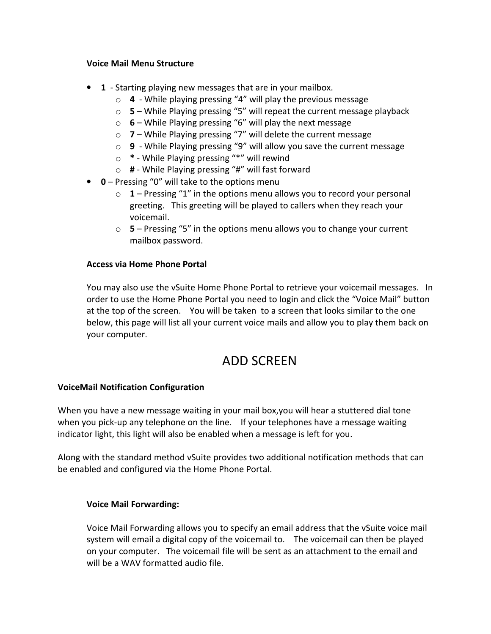#### Voice Mail Menu Structure

- 1 Starting playing new messages that are in your mailbox.
	- $\circ$  4 While playing pressing "4" will play the previous message
	- $\circ$  5 While Playing pressing "5" will repeat the current message playback
	- $\circ$  6 While Playing pressing "6" will play the next message
	- o 7 While Playing pressing "7" will delete the current message
	- $\circ$  9 While Playing pressing "9" will allow you save the current message
	- o \* While Playing pressing "\*" will rewind
	- o # While Playing pressing "#" will fast forward
- $\bullet$  0 Pressing "0" will take to the options menu
	- $\circ$  1 Pressing "1" in the options menu allows you to record your personal greeting. This greeting will be played to callers when they reach your voicemail.
	- $\circ$  5 Pressing "5" in the options menu allows you to change your current mailbox password.

#### Access via Home Phone Portal

You may also use the vSuite Home Phone Portal to retrieve your voicemail messages. In order to use the Home Phone Portal you need to login and click the "Voice Mail" button at the top of the screen. You will be taken to a screen that looks similar to the one below, this page will list all your current voice mails and allow you to play them back on your computer.

### ADD SCREEN

#### VoiceMail Notification Configuration

When you have a new message waiting in your mail box,you will hear a stuttered dial tone when you pick-up any telephone on the line. If your telephones have a message waiting indicator light, this light will also be enabled when a message is left for you.

Along with the standard method vSuite provides two additional notification methods that can be enabled and configured via the Home Phone Portal.

#### Voice Mail Forwarding:

Voice Mail Forwarding allows you to specify an email address that the vSuite voice mail system will email a digital copy of the voicemail to. The voicemail can then be played on your computer. The voicemail file will be sent as an attachment to the email and will be a WAV formatted audio file.